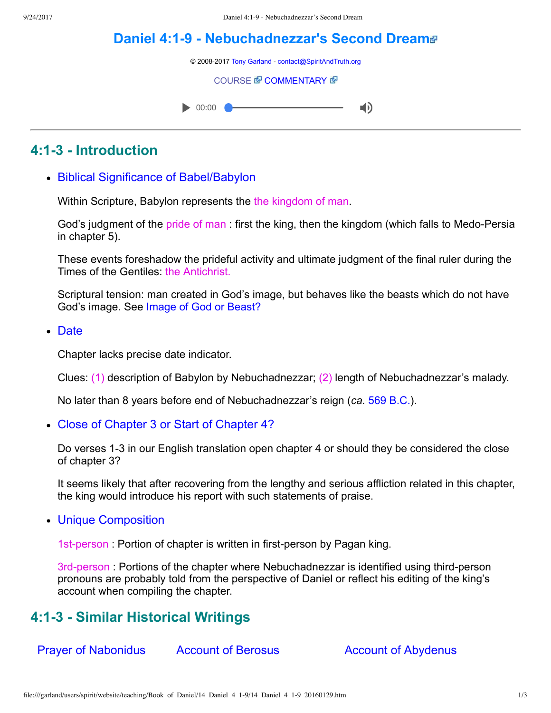d)

# **[Daniel 4:19 Nebuchadnezzar's Second Dream](file:///garland/users/spirit/website/teaching/Book_of_Daniel/14_Daniel_4_1-9/index.htm)**

© 2008-2017 [Tony Garland](file:///garland/users/spirit/website/teaching/teachers/tony_garland/bio.htm) - [contact@SpiritAndTruth.org](mailto:contact@SpiritAndTruth.org?subject=ST-MAIL:%20Daniel%204:1-9%20-%20Nebuchadnezzar%27s%20Second%20Dream)

#### **[COURSE](file:///garland/users/spirit/website/teaching/Book_of_Daniel/14_Daniel_4_1-9/index.htm) & [COMMENTARY](file:///garland/users/spirit/website/teaching/Book_of_Daniel/commentary/htm/index.html?Daniel_4:1) &**



### **4:13 Introduction**

Biblical Significance of Babel/Babylon

Within Scripture, Babylon represents the the kingdom of man.

God's judgment of the pride of man : first the king, then the kingdom (which falls to Medo-Persia in chapter 5).

These events foreshadow the prideful activity and ultimate judgment of the final ruler during the Times of the Gentiles: the Antichrist.

Scriptural tension: man created in God's image, but behaves like the beasts which do not have God's image. See [Image of God or Beast?](http://www.spiritandtruth.org/id/danc.html?Daniel_2:31)

• Date

Chapter lacks precise date indicator.

Clues: (1) description of Babylon by Nebuchadnezzar; (2) length of Nebuchadnezzar's malady.

No later than 8 years before end of Nebuchadnezzar's reign (*ca.* [569 B.C.](http://www.spiritandtruth.org/id/danc.html?Timeline)).

Close of Chapter 3 or Start of Chapter 4?

Do verses 1-3 in our English translation open chapter 4 or should they be considered the close of chapter 3?

It seems likely that after recovering from the lengthy and serious affliction related in this chapter, the king would introduce his report with such statements of praise.

Unique Composition

1st-person : Portion of chapter is written in first-person by Pagan king.

3rd-person : Portions of the chapter where Nebuchadnezzar is identified using third-person pronouns are probably told from the perspective of Daniel or reflect his editing of the king's account when compiling the chapter.

### **4:13 Similar Historical Writings**

Prayer of Nabonidus Account of Berosus Account of Abydenus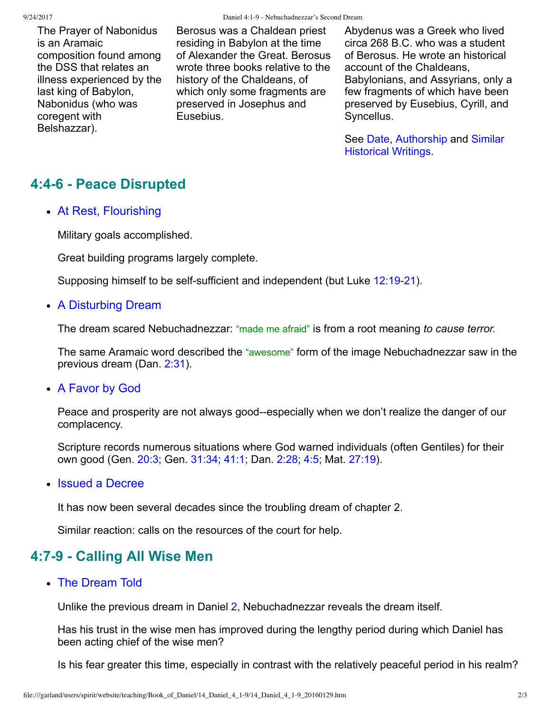The Prayer of Nabonidus is an Aramaic composition found among the DSS that relates an illness experienced by the last king of Babylon, Nabonidus (who was coregent with Belshazzar).

Berosus was a Chaldean priest residing in Babylon at the time of Alexander the Great. Berosus wrote three books relative to the history of the Chaldeans, of which only some fragments are preserved in Josephus and **Eusebius** 

Abydenus was a Greek who lived circa 268 B.C. who was a student of Berosus. He wrote an historical account of the Chaldeans, Babylonians, and Assyrians, only a few fragments of which have been preserved by Eusebius, Cyrill, and Syncellus.

[See Date, Authorship and Similar](http://www.spiritandtruth.org/id/danc.html?Similar_Historical_Writings) Historical Writings.

## **4:46 Peace Disrupted**

At Rest, Flourishing

Military goals accomplished.

Great building programs largely complete.

Supposing himself to be self-sufficient and independent (but Luke 12:19-21).

• A Disturbing Dream

The dream scared Nebuchadnezzar: "made me afraid" is from a root meaning *to cause terror.*

The same Aramaic word described the "awesome" form of the image Nebuchadnezzar saw in the previous dream (Dan. [2:31](http://www.spiritandtruth.org/bibles/nasb/b27c002.htm#Dan._C2V31)).

A Favor by God

Peace and prosperity are not always good--especially when we don't realize the danger of our complacency.

Scripture records numerous situations where God warned individuals (often Gentiles) for their own good (Gen. [20:3](http://www.spiritandtruth.org/bibles/nasb/b01c020.htm#Gen._C20V3); Gen. [31:34](http://www.spiritandtruth.org/bibles/nasb/b01c031.htm#Gen._C31V34); [41:1;](http://www.spiritandtruth.org/bibles/nasb/b01c041.htm#Gen._C41V1) Dan. [2:28](http://www.spiritandtruth.org/bibles/nasb/b27c002.htm#Dan._C2V28); [4:5;](http://www.spiritandtruth.org/bibles/nasb/b27c004.htm#Dan._C4V5) Mat. [27:19\)](http://www.spiritandtruth.org/bibles/nasb/b40c027.htm#Mat._C27V19).

• Issued a Decree

It has now been several decades since the troubling dream of chapter 2.

Similar reaction: calls on the resources of the court for help.

### **4:79 Calling All Wise Men**

The Dream Told

Unlike the previous dream in Daniel [2,](http://www.spiritandtruth.org/bibles/nasb/b27c002.htm#Dan._C2V1) Nebuchadnezzar reveals the dream itself.

Has his trust in the wise men has improved during the lengthy period during which Daniel has been acting chief of the wise men?

Is his fear greater this time, especially in contrast with the relatively peaceful period in his realm?